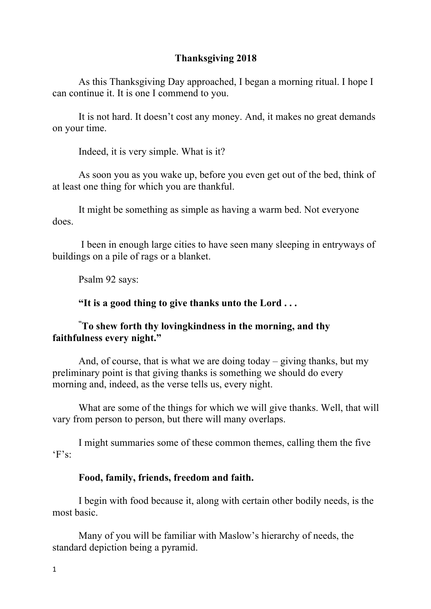## **Thanksgiving 2018**

As this Thanksgiving Day approached, I began a morning ritual. I hope I can continue it. It is one I commend to you.

It is not hard. It doesn't cost any money. And, it makes no great demands on your time.

Indeed, it is very simple. What is it?

As soon you as you wake up, before you even get out of the bed, think of at least one thing for which you are thankful.

It might be something as simple as having a warm bed. Not everyone does.

I been in enough large cities to have seen many sleeping in entryways of buildings on a pile of rags or a blanket.

Psalm 92 says:

#### **"It is a good thing to give thanks unto the Lord . . .**

# **" To shew forth thy lovingkindness in the morning, and thy faithfulness every night."**

And, of course, that is what we are doing today – giving thanks, but my preliminary point is that giving thanks is something we should do every morning and, indeed, as the verse tells us, every night.

What are some of the things for which we will give thanks. Well, that will vary from person to person, but there will many overlaps.

I might summaries some of these common themes, calling them the five  $F's$ 

#### **Food, family, friends, freedom and faith.**

I begin with food because it, along with certain other bodily needs, is the most basic.

Many of you will be familiar with Maslow's hierarchy of needs, the standard depiction being a pyramid.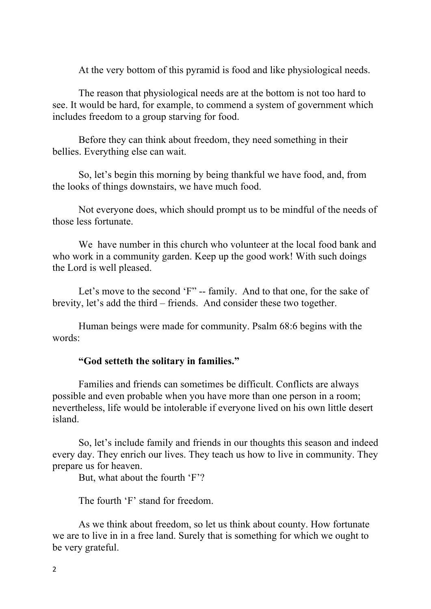At the very bottom of this pyramid is food and like physiological needs.

The reason that physiological needs are at the bottom is not too hard to see. It would be hard, for example, to commend a system of government which includes freedom to a group starving for food.

Before they can think about freedom, they need something in their bellies. Everything else can wait.

So, let's begin this morning by being thankful we have food, and, from the looks of things downstairs, we have much food.

Not everyone does, which should prompt us to be mindful of the needs of those less fortunate.

We have number in this church who volunteer at the local food bank and who work in a community garden. Keep up the good work! With such doings the Lord is well pleased.

Let's move to the second 'F" -- family. And to that one, for the sake of brevity, let's add the third – friends. And consider these two together.

Human beings were made for community. Psalm 68:6 begins with the words:

### **"God setteth the solitary in families."**

Families and friends can sometimes be difficult. Conflicts are always possible and even probable when you have more than one person in a room; nevertheless, life would be intolerable if everyone lived on his own little desert island.

So, let's include family and friends in our thoughts this season and indeed every day. They enrich our lives. They teach us how to live in community. They prepare us for heaven.

But, what about the fourth 'F'?

The fourth 'F' stand for freedom.

As we think about freedom, so let us think about county. How fortunate we are to live in in a free land. Surely that is something for which we ought to be very grateful.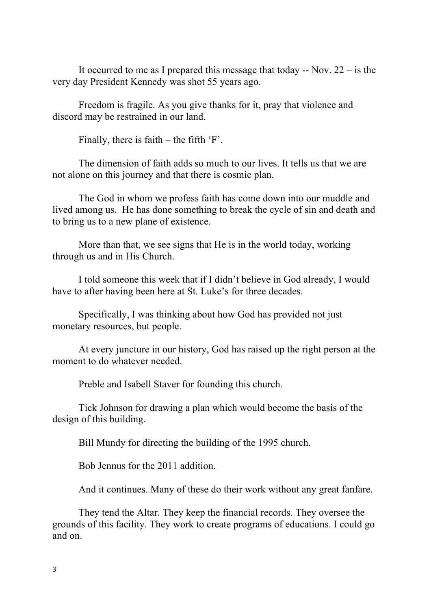It occurred to me as I prepared this message that today  $-$  Nov. 22  $-$  is the very day President Kennedy was shot 55 years ago.

Freedom is fragile. As you give thanks for it, pray that violence and discord may be restrained in our land.

Finally, there is faith – the fifth 'F'.

The dimension of faith adds so much to our lives. It tells us that we are not alone on this journey and that there is cosmic plan.

The God in whom we profess faith has come down into our muddle and lived among us. He has done something to break the cycle of sin and death and to bring us to a new plane of existence.

More than that, we see signs that He is in the world today, working through us and in His Church.

I told someone this week that if I didn't believe in God already, I would have to after having been here at St. Luke's for three decades.

Specifically, I was thinking about how God has provided not just monetary resources, but people.

At every juncture in our history, God has raised up the right person at the moment to do whatever needed.

Preble and Isabell Staver for founding this church.

Tick Johnson for drawing a plan which would become the basis of the design of this building.

Bill Mundy for directing the building of the 1995 church.

Bob Jennus for the 2011 addition.

And it continues. Many of these do their work without any great fanfare.

They tend the Altar. They keep the financial records. They oversee the grounds of this facility. They work to create programs of educations. I could go and on.